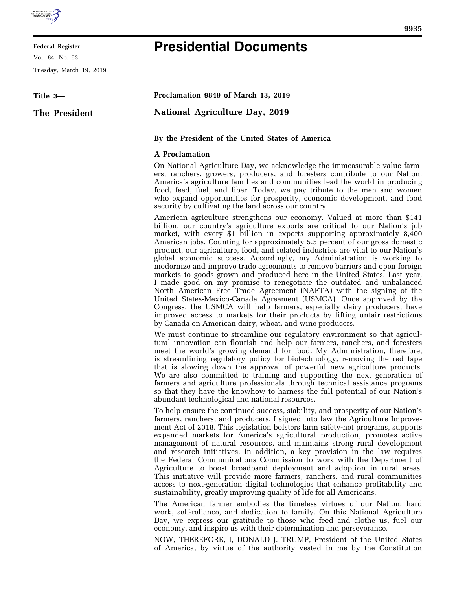

## **Federal Register**

Vol. 84, No. 53

Tuesday, March 19, 2019

## **Presidential Documents**

| Title 3-      | Proclamation 9849 of March 13, 2019                                                                                                                                                                                                                                                                                                                                                                                                                                                                                                                                                                                                                                                                                                                                                                                                                                                                                                                                                                                                                                                   |
|---------------|---------------------------------------------------------------------------------------------------------------------------------------------------------------------------------------------------------------------------------------------------------------------------------------------------------------------------------------------------------------------------------------------------------------------------------------------------------------------------------------------------------------------------------------------------------------------------------------------------------------------------------------------------------------------------------------------------------------------------------------------------------------------------------------------------------------------------------------------------------------------------------------------------------------------------------------------------------------------------------------------------------------------------------------------------------------------------------------|
| The President | <b>National Agriculture Day, 2019</b>                                                                                                                                                                                                                                                                                                                                                                                                                                                                                                                                                                                                                                                                                                                                                                                                                                                                                                                                                                                                                                                 |
|               | By the President of the United States of America                                                                                                                                                                                                                                                                                                                                                                                                                                                                                                                                                                                                                                                                                                                                                                                                                                                                                                                                                                                                                                      |
|               | <b>A</b> Proclamation                                                                                                                                                                                                                                                                                                                                                                                                                                                                                                                                                                                                                                                                                                                                                                                                                                                                                                                                                                                                                                                                 |
|               | On National Agriculture Day, we acknowledge the immeasurable value farm-<br>ers, ranchers, growers, producers, and foresters contribute to our Nation.<br>America's agriculture families and communities lead the world in producing<br>food, feed, fuel, and fiber. Today, we pay tribute to the men and women<br>who expand opportunities for prosperity, economic development, and food<br>security by cultivating the land across our country.                                                                                                                                                                                                                                                                                                                                                                                                                                                                                                                                                                                                                                    |
|               | American agriculture strengthens our economy. Valued at more than \$141<br>billion, our country's agriculture exports are critical to our Nation's job<br>market, with every \$1 billion in exports supporting approximately 8,400<br>American jobs. Counting for approximately 5.5 percent of our gross domestic<br>product, our agriculture, food, and related industries are vital to our Nation's<br>global economic success. Accordingly, my Administration is working to<br>modernize and improve trade agreements to remove barriers and open foreign<br>markets to goods grown and produced here in the United States. Last year,<br>I made good on my promise to renegotiate the outdated and unbalanced<br>North American Free Trade Agreement (NAFTA) with the signing of the<br>United States-Mexico-Canada Agreement (USMCA). Once approved by the<br>Congress, the USMCA will help farmers, especially dairy producers, have<br>improved access to markets for their products by lifting unfair restrictions<br>by Canada on American dairy, wheat, and wine producers. |
|               | We must continue to streamline our regulatory environment so that agricul-<br>tural innovation can flourish and help our farmers, ranchers, and foresters<br>meet the world's growing demand for food. My Administration, therefore,<br>is streamlining regulatory policy for biotechnology, removing the red tape<br>that is slowing down the approval of powerful new agriculture products.<br>We are also committed to training and supporting the next generation of<br>farmers and agriculture professionals through technical assistance programs<br>so that they have the knowhow to harness the full potential of our Nation's<br>abundant technological and national resources.                                                                                                                                                                                                                                                                                                                                                                                              |
|               | To help ensure the continued success, stability, and prosperity of our Nation's<br>farmers, ranchers, and producers, I signed into law the Agriculture Improve-<br>ment Act of 2018. This legislation bolsters farm safety-net programs, supports<br>expanded markets for America's agricultural production, promotes active<br>management of natural resources, and maintains strong rural development<br>and research initiatives. In addition, a key provision in the law requires<br>the Federal Communications Commission to work with the Department of<br>Agriculture to boost broadband deployment and adoption in rural areas.<br>This initiative will provide more farmers, ranchers, and rural communities<br>access to next-generation digital technologies that enhance profitability and<br>sustainability, greatly improving quality of life for all Americans.                                                                                                                                                                                                        |
|               | The American farmer embodies the timeless virtues of our Nation: hard<br>work, self-reliance, and dedication to family. On this National Agriculture<br>Day, we express our gratitude to those who feed and clothe us, fuel our<br>economy, and inspire us with their determination and perseverance.<br>NOW, THEREFORE, I, DONALD J. TRUMP, President of the United States<br>of America, by virtue of the authority vested in me by the Constitution                                                                                                                                                                                                                                                                                                                                                                                                                                                                                                                                                                                                                                |